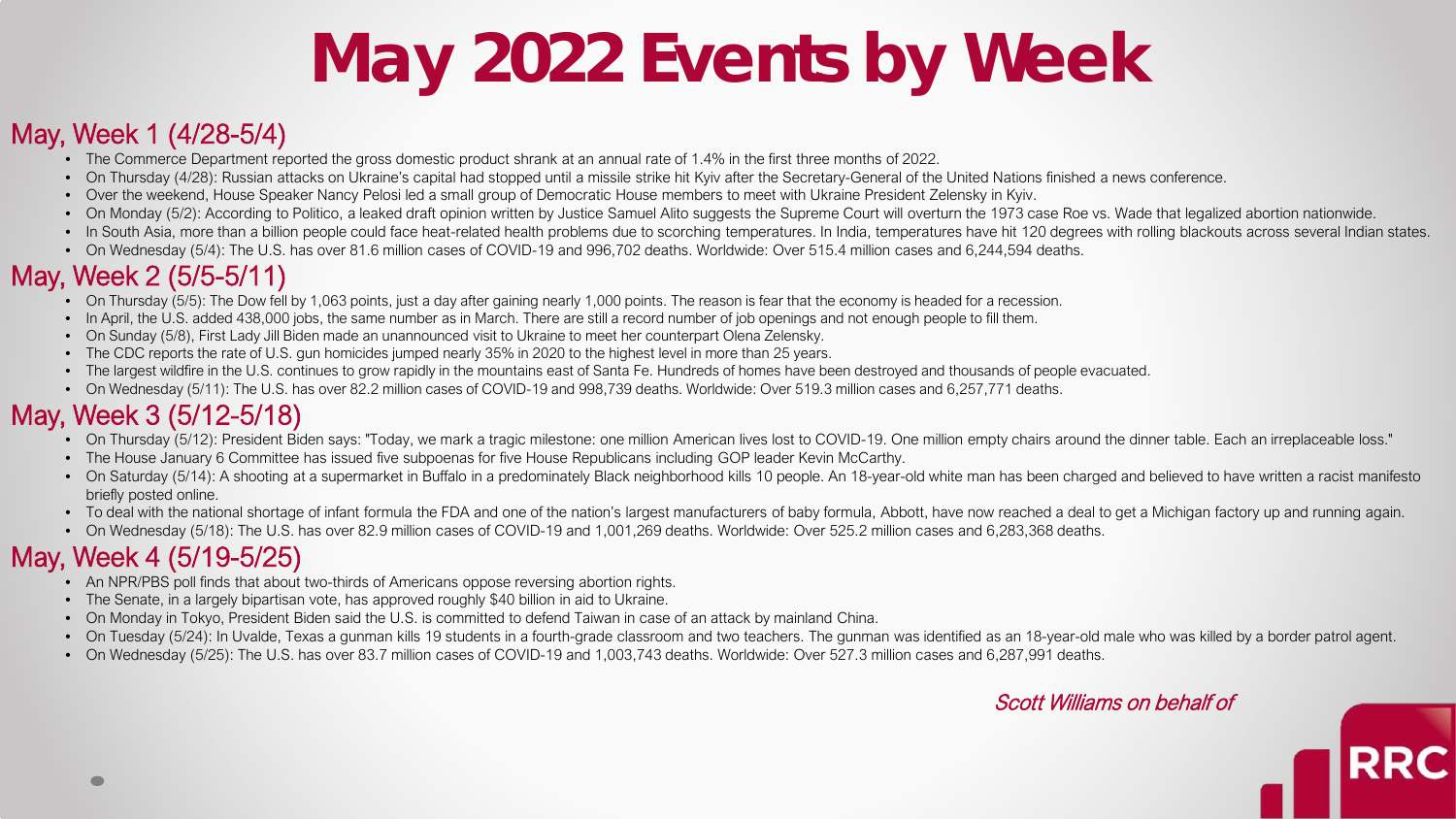# **May 2022 Events by Week**

#### May, Week 1 (4/28-5/4)

- The Commerce Department reported the gross domestic product shrank at an annual rate of 1.4% in the first three months of 2022.
- On Thursday (4/28): Russian attacks on Ukraine's capital had stopped until a missile strike hit Kyiv after the Secretary-General of the United Nations finished a news conference.
- Over the weekend, House Speaker Nancy Pelosi led a small group of Democratic House members to meet with Ukraine President Zelensky in Kyiv.
- On Monday (5/2): According to Politico, a leaked draft opinion written by Justice Samuel Alito suggests the Supreme Court will overturn the 1973 case Roe vs. Wade that legalized abortion nationwide.
- In South Asia, more than a billion people could face heat-related health problems due to scorching temperatures. In India, temperatures have hit 120 degrees with rolling blackouts across several Indian states.
- On Wednesday (5/4): The U.S. has over 81.6 million cases of COVID-19 and 996,702 deaths. Worldwide: Over 515.4 million cases and 6,244,594 deaths.

### May, Week 2 (5/5-5/11)

- On Thursday (5/5): The Dow fell by 1,063 points, just a day after gaining nearly 1,000 points. The reason is fear that the economy is headed for a recession.
- In April, the U.S. added 438,000 jobs, the same number as in March. There are still a record number of job openings and not enough people to fill them.
- On Sunday (5/8), First Lady Jill Biden made an unannounced visit to Ukraine to meet her counterpart Olena Zelensky.
- The CDC reports the rate of U.S. gun homicides jumped nearly 35% in 2020 to the highest level in more than 25 years.
- The largest wildfire in the U.S. continues to grow rapidly in the mountains east of Santa Fe. Hundreds of homes have been destroyed and thousands of people evacuated.
- On Wednesday (5/11): The U.S. has over 82.2 million cases of COVID-19 and 998,739 deaths. Worldwide: Over 519.3 million cases and 6,257,771 deaths.

## May, Week 3 (5/12-5/18)

- On Thursday (5/12): President Biden says: "Today, we mark a tragic milestone: one million American lives lost to COVID-19. One million empty chairs around the dinner table. Each an irreplaceable loss."
- The House January 6 Committee has issued five subpoenas for five House Republicans including GOP leader Kevin McCarthy.
- On Saturday (5/14): A shooting at a supermarket in Buffalo in a predominately Black neighborhood kills 10 people. An 18-year-old white man has been charged and believed to have written a racist manifesto briefly posted online.
- To deal with the national shortage of infant formula the FDA and one of the nation's largest manufacturers of baby formula, Abbott, have now reached a deal to get a Michigan factory up and running again.
- On Wednesday (5/18): The U.S. has over 82.9 million cases of COVID-19 and 1,001,269 deaths. Worldwide: Over 525.2 million cases and 6,283,368 deaths.

## May, Week 4 (5/19-5/25)

- An NPR/PBS poll finds that about two-thirds of Americans oppose reversing abortion rights.
- The Senate, in a largely bipartisan vote, has approved roughly \$40 billion in aid to Ukraine.
- On Monday in Tokyo, President Biden said the U.S. is committed to defend Taiwan in case of an attack by mainland China.
- On Tuesday (5/24): In Uvalde, Texas a gunman kills 19 students in a fourth-grade classroom and two teachers. The gunman was identified as an 18-year-old male who was killed by a border patrol agent.
- On Wednesday (5/25): The U.S. has over 83.7 million cases of COVID-19 and 1,003,743 deaths. Worldwide: Over 527.3 million cases and 6,287,991 deaths.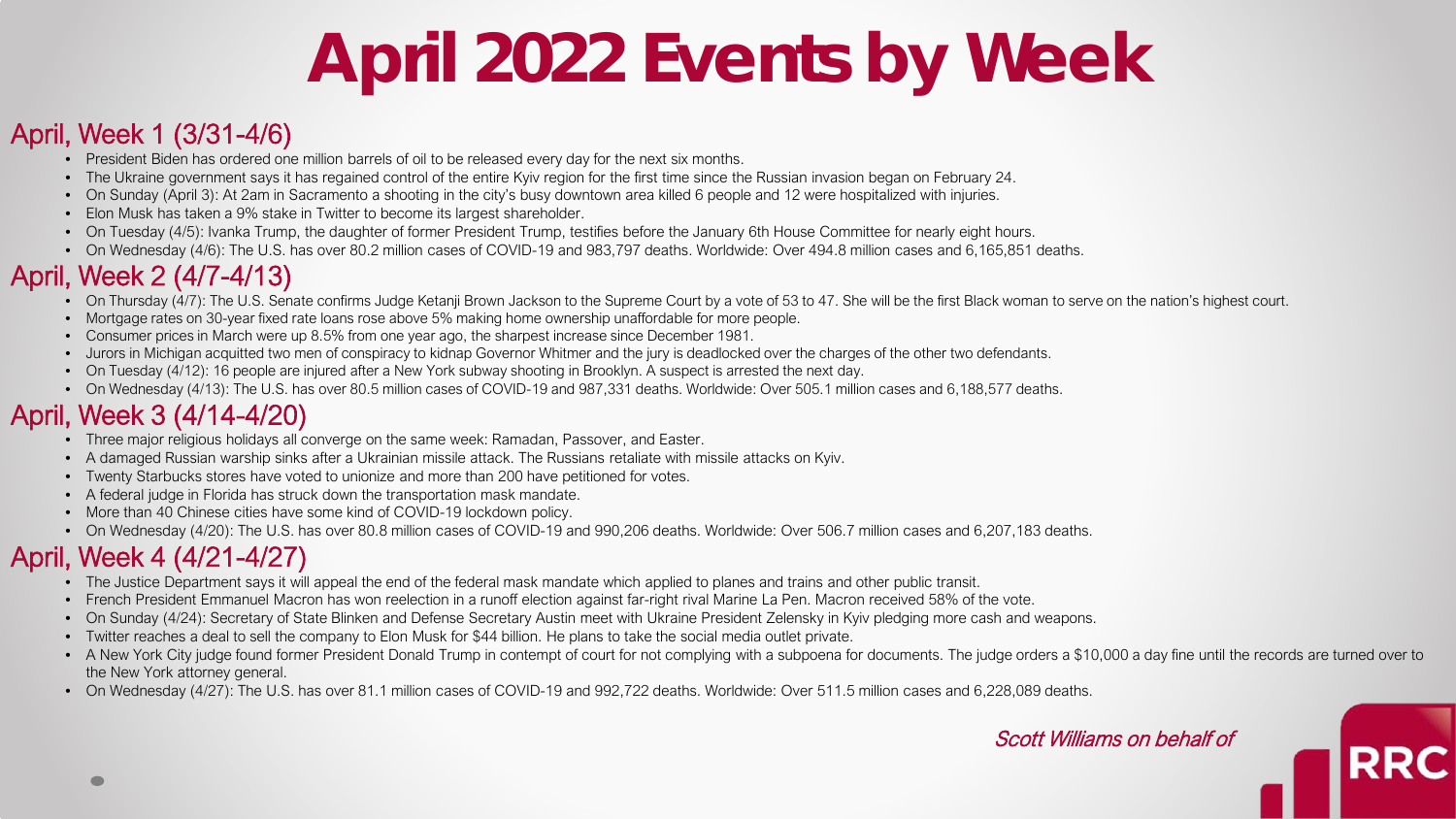# **April 2022 Events by Week**

#### April, Week 1 (3/31-4/6)

- President Biden has ordered one million barrels of oil to be released every day for the next six months.
- The Ukraine government says it has regained control of the entire Kyiv region for the first time since the Russian invasion began on February 24.
- On Sunday (April 3): At 2am in Sacramento a shooting in the city's busy downtown area killed 6 people and 12 were hospitalized with injuries.
- Elon Musk has taken a 9% stake in Twitter to become its largest shareholder.
- On Tuesday (4/5): Ivanka Trump, the daughter of former President Trump, testifies before the January 6th House Committee for nearly eight hours.
- On Wednesday (4/6): The U.S. has over 80.2 million cases of COVID-19 and 983,797 deaths. Worldwide: Over 494.8 million cases and 6,165,851 deaths.

# April, Week 2 (4/7-4/13)

- On Thursday (4/7): The U.S. Senate confirms Judge Ketanji Brown Jackson to the Supreme Court by a vote of 53 to 47. She will be the first Black woman to serve on the nation's highest court.
- Mortgage rates on 30-year fixed rate loans rose above 5% making home ownership unaffordable for more people.
- Consumer prices in March were up 8.5% from one year ago, the sharpest increase since December 1981.
- Jurors in Michigan acquitted two men of conspiracy to kidnap Governor Whitmer and the jury is deadlocked over the charges of the other two defendants.
- On Tuesday (4/12): 16 people are injured after a New York subway shooting in Brooklyn. A suspect is arrested the next day.
- On Wednesday (4/13): The U.S. has over 80.5 million cases of COVID-19 and 987,331 deaths. Worldwide: Over 505.1 million cases and 6,188,577 deaths.

# April, Week 3 (4/14-4/20)

- Three major religious holidays all converge on the same week: Ramadan, Passover, and Easter.
- A damaged Russian warship sinks after a Ukrainian missile attack. The Russians retaliate with missile attacks on Kyiv.
- Twenty Starbucks stores have voted to unionize and more than 200 have petitioned for votes.
- A federal judge in Florida has struck down the transportation mask mandate.
- More than 40 Chinese cities have some kind of COVID-19 lockdown policy.
- On Wednesday (4/20): The U.S. has over 80.8 million cases of COVID-19 and 990,206 deaths. Worldwide: Over 506.7 million cases and 6,207,183 deaths.

# April, Week 4 (4/21-4/27)

- The Justice Department says it will appeal the end of the federal mask mandate which applied to planes and trains and other public transit.
- French President Emmanuel Macron has won reelection in a runoff election against far-right rival Marine La Pen. Macron received 58% of the vote.
- On Sunday (4/24): Secretary of State Blinken and Defense Secretary Austin meet with Ukraine President Zelensky in Kyiv pledging more cash and weapons.
- Twitter reaches a deal to sell the company to Elon Musk for \$44 billion. He plans to take the social media outlet private.
- A New York City judge found former President Donald Trump in contempt of court for not complying with a subpoena for documents. The judge orders a \$10,000 a day fine until the records are turned over to the New York attorney general.
- On Wednesday (4/27): The U.S. has over 81.1 million cases of COVID-19 and 992,722 deaths. Worldwide: Over 511.5 million cases and 6,228,089 deaths.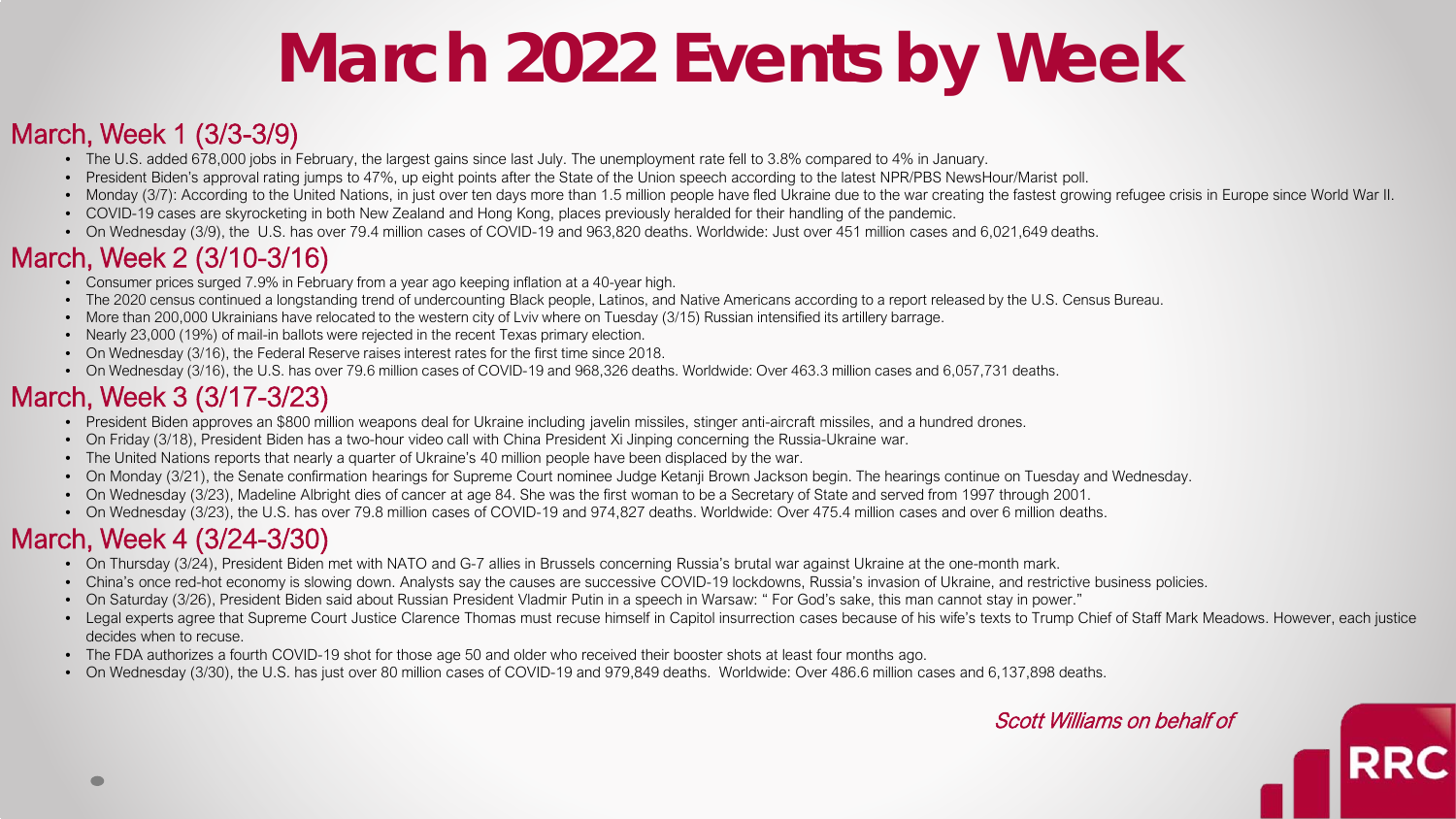# **March 2022 Events by Week**

#### March, Week 1 (3/3-3/9)

- The U.S. added 678,000 jobs in February, the largest gains since last July. The unemployment rate fell to 3.8% compared to 4% in January.
- President Biden's approval rating jumps to 47%, up eight points after the State of the Union speech according to the latest NPR/PBS NewsHour/Marist poll.
- Monday (3/7): According to the United Nations, in just over ten days more than 1.5 million people have fled Ukraine due to the war creating the fastest growing refugee crisis in Europe since World War II.
- COVID-19 cases are skyrocketing in both New Zealand and Hong Kong, places previously heralded for their handling of the pandemic.
- On Wednesdav (3/9), the U.S. has over 79.4 million cases of COVID-19 and 963,820 deaths. Worldwide: Just over 451 million cases and 6,021,649 deaths.

#### March, Week 2 (3/10-3/16)

- Consumer prices surged 7.9% in February from a year ago keeping inflation at a 40-year high.
- The 2020 census continued a longstanding trend of undercounting Black people, Latinos, and Native Americans according to a report released by the U.S. Census Bureau.
- More than 200,000 Ukrainians have relocated to the western city of Lviv where on Tuesday (3/15) Russian intensified its artillery barrage.
- Nearly 23,000 (19%) of mail-in ballots were rejected in the recent Texas primary election.
- On Wednesday (3/16), the Federal Reserve raises interest rates for the first time since 2018.
- On Wednesday (3/16), the U.S. has over 79.6 million cases of COVID-19 and 968,326 deaths. Worldwide: Over 463.3 million cases and 6,057,731 deaths.

### March, Week 3 (3/17-3/23)

- President Biden approves an \$800 million weapons deal for Ukraine including javelin missiles, stinger anti-aircraft missiles, and a hundred drones.
- On Friday (3/18), President Biden has a two-hour video call with China President Xi Jinping concerning the Russia-Ukraine war.
- The United Nations reports that nearly a quarter of Ukraine's 40 million people have been displaced by the war.
- On Monday (3/21), the Senate confirmation hearings for Supreme Court nominee Judge Ketanji Brown Jackson begin. The hearings continue on Tuesday and Wednesday.
- On Wednesday (3/23), Madeline Albright dies of cancer at age 84. She was the first woman to be a Secretary of State and served from 1997 through 2001.
- On Wednesday (3/23), the U.S. has over 79.8 million cases of COVID-19 and 974,827 deaths. Worldwide: Over 475.4 million cases and over 6 million deaths.

## March, Week 4 (3/24-3/30)

- On Thursday (3/24), President Biden met with NATO and G-7 allies in Brussels concerning Russia's brutal war against Ukraine at the one-month mark.
- China's once red-hot economy is slowing down. Analysts say the causes are successive COVID-19 lockdowns, Russia's invasion of Ukraine, and restrictive business policies.
- On Saturday (3/26), President Biden said about Russian President Vladmir Putin in a speech in Warsaw: " For God's sake, this man cannot stay in power."
- Legal experts agree that Supreme Court Justice Clarence Thomas must recuse himself in Capitol insurrection cases because of his wife's texts to Trump Chief of Staff Mark Meadows. However, each justice decides when to recuse.
- The FDA authorizes a fourth COVID-19 shot for those age 50 and older who received their booster shots at least four months ago.
- On Wednesday (3/30), the U.S. has just over 80 million cases of COVID-19 and 979,849 deaths. Worldwide: Over 486.6 million cases and 6,137,898 deaths.

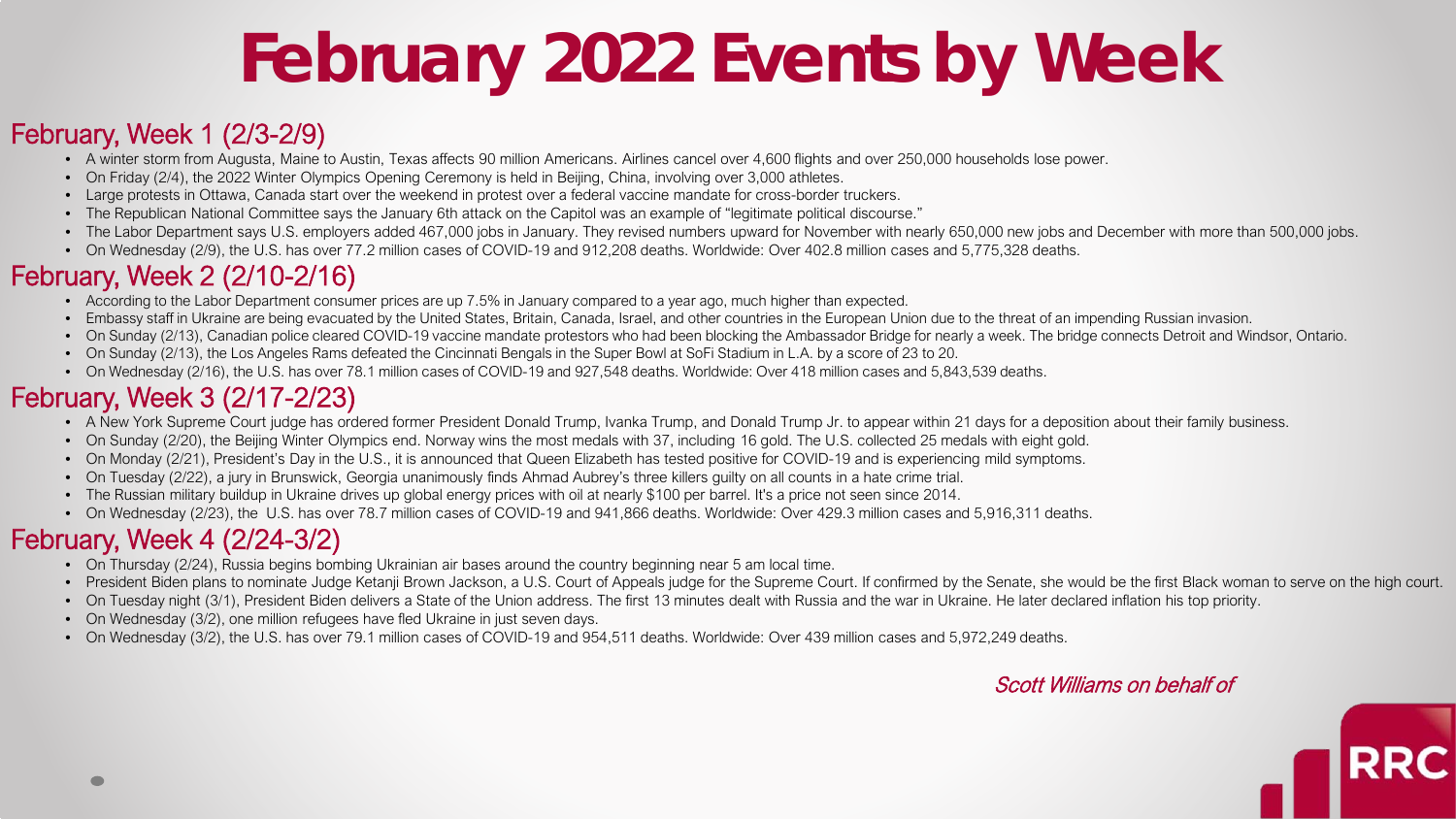# **February 2022 Events by Week**

#### February, Week 1 (2/3-2/9)

- A winter storm from Augusta, Maine to Austin, Texas affects 90 million Americans. Airlines cancel over 4,600 flights and over 250,000 households lose power.
- On Friday (2/4), the 2022 Winter Olympics Opening Ceremony is held in Beijing, China, involving over 3,000 athletes.
- Large protests in Ottawa, Canada start over the weekend in protest over a federal vaccine mandate for cross-border truckers.
- The Republican National Committee says the January 6th attack on the Capitol was an example of "legitimate political discourse."
- The Labor Department says U.S. employers added 467,000 jobs in January. They revised numbers upward for November with nearly 650,000 new jobs and December with more than 500,000 jobs.
- On Wednesday (2/9), the U.S. has over 77.2 million cases of COVID-19 and 912,208 deaths. Worldwide: Over 402.8 million cases and 5,775,328 deaths.

## February, Week 2 (2/10-2/16)

- According to the Labor Department consumer prices are up 7.5% in January compared to a year ago, much higher than expected.
- Embassy staff in Ukraine are being evacuated by the United States, Britain, Canada, Israel, and other countries in the European Union due to the threat of an impending Russian invasion.
- On Sunday (2/13), Canadian police cleared COVID-19 vaccine mandate protestors who had been blocking the Ambassador Bridge for nearly a week. The bridge connects Detroit and Windsor, Ontario.
- On Sunday (2/13), the Los Angeles Rams defeated the Cincinnati Bengals in the Super Bowl at SoFi Stadium in L.A. by a score of 23 to 20.
- On Wednesday (2/16), the U.S. has over 78.1 million cases of COVID-19 and 927,548 deaths. Worldwide: Over 418 million cases and 5,843,539 deaths.

## February, Week 3 (2/17-2/23)

- A New York Supreme Court judge has ordered former President Donald Trump, Ivanka Trump, and Donald Trump Jr. to appear within 21 days for a deposition about their family business.
- On Sunday (2/20), the Beijing Winter Olympics end. Norway wins the most medals with 37, including 16 gold. The U.S. collected 25 medals with eight gold.
- On Monday (2/21), President's Day in the U.S., it is announced that Queen Elizabeth has tested positive for COVID-19 and is experiencing mild symptoms.
- On Tuesday (2/22), a jury in Brunswick, Georgia unanimously finds Ahmad Aubrey's three killers guilty on all counts in a hate crime trial.
- The Russian military buildup in Ukraine drives up global energy prices with oil at nearly \$100 per barrel. It's a price not seen since 2014.
- On Wednesday (2/23), the U.S. has over 78.7 million cases of COVID-19 and 941,866 deaths. Worldwide: Over 429.3 million cases and 5,916,311 deaths.

### February, Week 4 (2/24-3/2)

- On Thursday (2/24), Russia begins bombing Ukrainian air bases around the country beginning near 5 am local time.
- President Biden plans to nominate Judge Ketanji Brown Jackson, a U.S. Court of Appeals judge for the Supreme Court. If confirmed by the Senate, she would be the first Black woman to serve on the high court.
- On Tuesday night (3/1), President Biden delivers a State of the Union address. The first 13 minutes dealt with Russia and the war in Ukraine. He later declared inflation his top priority.
- On Wednesday (3/2), one million refugees have fled Ukraine in just seven days.
- On Wednesday (3/2), the U.S. has over 79.1 million cases of COVID-19 and 954,511 deaths. Worldwide: Over 439 million cases and 5,972,249 deaths.